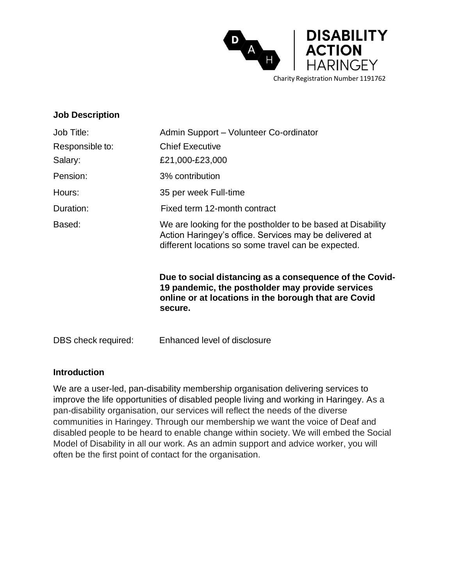

## **Job Description**

| Job Title:          | Admin Support - Volunteer Co-ordinator                                                                                                                                         |  |
|---------------------|--------------------------------------------------------------------------------------------------------------------------------------------------------------------------------|--|
| Responsible to:     | <b>Chief Executive</b>                                                                                                                                                         |  |
| Salary:             | £21,000-£23,000                                                                                                                                                                |  |
| Pension:            | 3% contribution                                                                                                                                                                |  |
| Hours:              | 35 per week Full-time                                                                                                                                                          |  |
| Duration:           | Fixed term 12-month contract                                                                                                                                                   |  |
| Based:              | We are looking for the postholder to be based at Disability<br>Action Haringey's office. Services may be delivered at<br>different locations so some travel can be expected.   |  |
|                     | Due to social distancing as a consequence of the Covid-<br>19 pandemic, the postholder may provide services<br>online or at locations in the borough that are Covid<br>secure. |  |
| DBS check required: | Enhanced level of disclosure                                                                                                                                                   |  |

## **Introduction**

We are a user-led, pan-disability membership organisation delivering services to improve the life opportunities of disabled people living and working in Haringey. As a pan-disability organisation, our services will reflect the needs of the diverse communities in Haringey. Through our membership we want the voice of Deaf and disabled people to be heard to enable change within society. We will embed the Social Model of Disability in all our work. As an admin support and advice worker, you will often be the first point of contact for the organisation.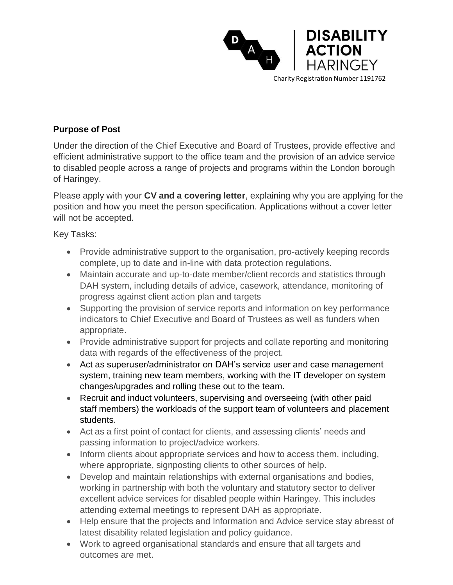

## **Purpose of Post**

Under the direction of the Chief Executive and Board of Trustees, provide effective and efficient administrative support to the office team and the provision of an advice service to disabled people across a range of projects and programs within the London borough of Haringey.

Please apply with your **CV and a covering letter**, explaining why you are applying for the position and how you meet the person specification. Applications without a cover letter will not be accepted.

Key Tasks:

- Provide administrative support to the organisation, pro-actively keeping records complete, up to date and in-line with data protection regulations.
- Maintain accurate and up-to-date member/client records and statistics through DAH system, including details of advice, casework, attendance, monitoring of progress against client action plan and targets
- Supporting the provision of service reports and information on key performance indicators to Chief Executive and Board of Trustees as well as funders when appropriate.
- Provide administrative support for projects and collate reporting and monitoring data with regards of the effectiveness of the project.
- Act as superuser/administrator on DAH's service user and case management system, training new team members, working with the IT developer on system changes/upgrades and rolling these out to the team.
- Recruit and induct volunteers, supervising and overseeing (with other paid staff members) the workloads of the support team of volunteers and placement students.
- Act as a first point of contact for clients, and assessing clients' needs and passing information to project/advice workers.
- Inform clients about appropriate services and how to access them, including, where appropriate, signposting clients to other sources of help.
- Develop and maintain relationships with external organisations and bodies, working in partnership with both the voluntary and statutory sector to deliver excellent advice services for disabled people within Haringey. This includes attending external meetings to represent DAH as appropriate.
- Help ensure that the projects and Information and Advice service stay abreast of latest disability related legislation and policy guidance.
- Work to agreed organisational standards and ensure that all targets and outcomes are met.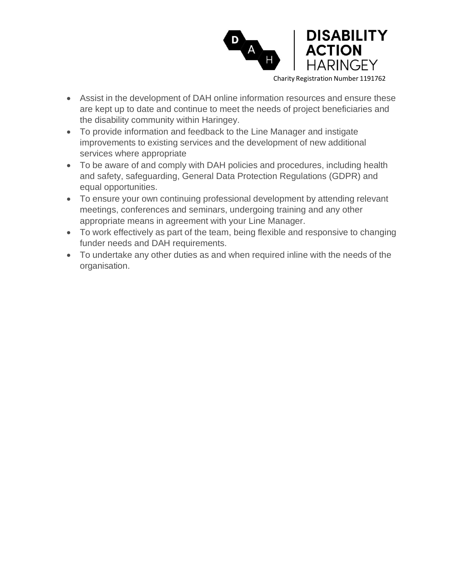

- Assist in the development of DAH online information resources and ensure these are kept up to date and continue to meet the needs of project beneficiaries and the disability community within Haringey.
- To provide information and feedback to the Line Manager and instigate improvements to existing services and the development of new additional services where appropriate
- To be aware of and comply with DAH policies and procedures, including health and safety, safeguarding, General Data Protection Regulations (GDPR) and equal opportunities.
- To ensure your own continuing professional development by attending relevant meetings, conferences and seminars, undergoing training and any other appropriate means in agreement with your Line Manager.
- To work effectively as part of the team, being flexible and responsive to changing funder needs and DAH requirements.
- To undertake any other duties as and when required inline with the needs of the organisation.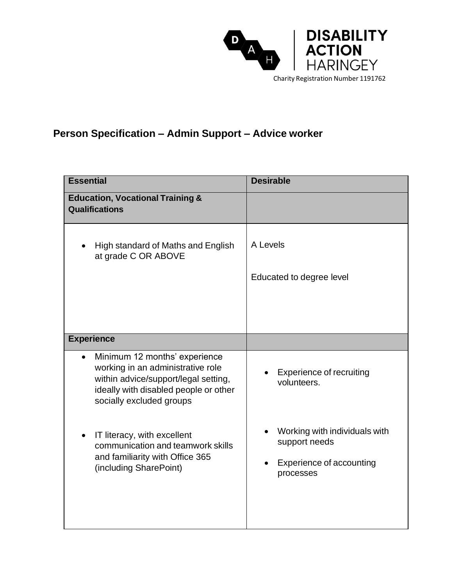

## **Person Specification – Admin Support – Advice worker**

| <b>Essential</b>                                                                                                                                                                             | <b>Desirable</b>                                                                               |
|----------------------------------------------------------------------------------------------------------------------------------------------------------------------------------------------|------------------------------------------------------------------------------------------------|
| <b>Education, Vocational Training &amp;</b><br><b>Qualifications</b>                                                                                                                         |                                                                                                |
| High standard of Maths and English<br>at grade C OR ABOVE                                                                                                                                    | A Levels<br>Educated to degree level                                                           |
| <b>Experience</b>                                                                                                                                                                            |                                                                                                |
|                                                                                                                                                                                              |                                                                                                |
| Minimum 12 months' experience<br>$\bullet$<br>working in an administrative role<br>within advice/support/legal setting,<br>ideally with disabled people or other<br>socially excluded groups | <b>Experience of recruiting</b><br>volunteers.                                                 |
| IT literacy, with excellent<br>$\bullet$<br>communication and teamwork skills<br>and familiarity with Office 365<br>(including SharePoint)                                                   | Working with individuals with<br>support needs<br><b>Experience of accounting</b><br>processes |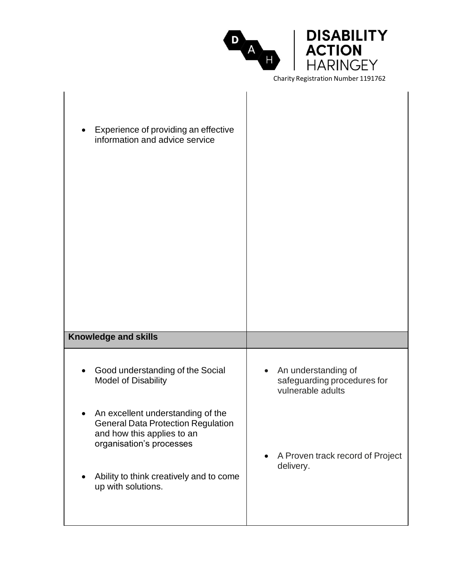|                                            | <b>DISABILITY</b><br><b>ACTION</b> |  |
|--------------------------------------------|------------------------------------|--|
|                                            | <b>HARINGEY</b>                    |  |
| <b>Charity Registration Number 1191762</b> |                                    |  |

| Experience of providing an effective<br>information and advice service                                                            |                                                                                      |
|-----------------------------------------------------------------------------------------------------------------------------------|--------------------------------------------------------------------------------------|
| <b>Knowledge and skills</b>                                                                                                       |                                                                                      |
| Good understanding of the Social<br><b>Model of Disability</b>                                                                    | An understanding of<br>$\bullet$<br>safeguarding procedures for<br>vulnerable adults |
| An excellent understanding of the<br>General Data Protection Regulation<br>and how this applies to an<br>organisation's processes | A Proven track record of Project<br>$\bullet$<br>delivery.                           |
| Ability to think creatively and to come<br>up with solutions.                                                                     |                                                                                      |